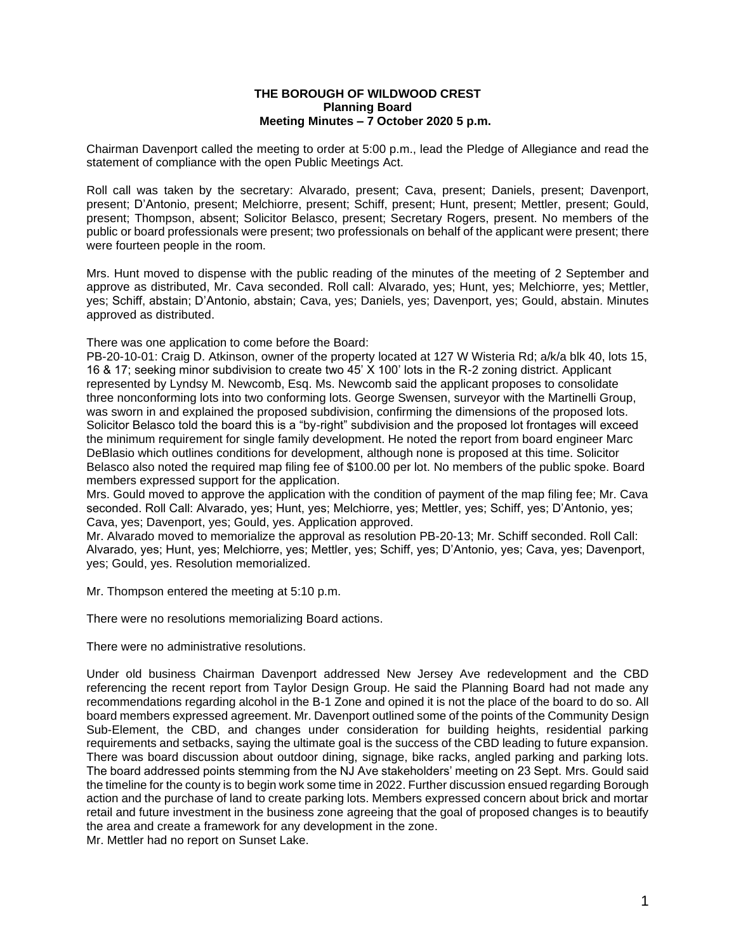## **THE BOROUGH OF WILDWOOD CREST Planning Board Meeting Minutes – 7 October 2020 5 p.m.**

Chairman Davenport called the meeting to order at 5:00 p.m., lead the Pledge of Allegiance and read the statement of compliance with the open Public Meetings Act.

Roll call was taken by the secretary: Alvarado, present; Cava, present; Daniels, present; Davenport, present; D'Antonio, present; Melchiorre, present; Schiff, present; Hunt, present; Mettler, present; Gould, present; Thompson, absent; Solicitor Belasco, present; Secretary Rogers, present. No members of the public or board professionals were present; two professionals on behalf of the applicant were present; there were fourteen people in the room.

Mrs. Hunt moved to dispense with the public reading of the minutes of the meeting of 2 September and approve as distributed, Mr. Cava seconded. Roll call: Alvarado, yes; Hunt, yes; Melchiorre, yes; Mettler, yes; Schiff, abstain; D'Antonio, abstain; Cava, yes; Daniels, yes; Davenport, yes; Gould, abstain. Minutes approved as distributed.

There was one application to come before the Board:

PB-20-10-01: Craig D. Atkinson, owner of the property located at 127 W Wisteria Rd; a/k/a blk 40, lots 15, 16 & 17; seeking minor subdivision to create two 45' X 100' lots in the R-2 zoning district. Applicant represented by Lyndsy M. Newcomb, Esq. Ms. Newcomb said the applicant proposes to consolidate three nonconforming lots into two conforming lots. George Swensen, surveyor with the Martinelli Group, was sworn in and explained the proposed subdivision, confirming the dimensions of the proposed lots. Solicitor Belasco told the board this is a "by-right" subdivision and the proposed lot frontages will exceed the minimum requirement for single family development. He noted the report from board engineer Marc DeBlasio which outlines conditions for development, although none is proposed at this time. Solicitor Belasco also noted the required map filing fee of \$100.00 per lot. No members of the public spoke. Board members expressed support for the application.

Mrs. Gould moved to approve the application with the condition of payment of the map filing fee; Mr. Cava seconded. Roll Call: Alvarado, yes; Hunt, yes; Melchiorre, yes; Mettler, yes; Schiff, yes; D'Antonio, yes; Cava, yes; Davenport, yes; Gould, yes. Application approved.

Mr. Alvarado moved to memorialize the approval as resolution PB-20-13; Mr. Schiff seconded. Roll Call: Alvarado, yes; Hunt, yes; Melchiorre, yes; Mettler, yes; Schiff, yes; D'Antonio, yes; Cava, yes; Davenport, yes; Gould, yes. Resolution memorialized.

Mr. Thompson entered the meeting at 5:10 p.m.

There were no resolutions memorializing Board actions.

There were no administrative resolutions.

Under old business Chairman Davenport addressed New Jersey Ave redevelopment and the CBD referencing the recent report from Taylor Design Group. He said the Planning Board had not made any recommendations regarding alcohol in the B-1 Zone and opined it is not the place of the board to do so. All board members expressed agreement. Mr. Davenport outlined some of the points of the Community Design Sub-Element, the CBD, and changes under consideration for building heights, residential parking requirements and setbacks, saying the ultimate goal is the success of the CBD leading to future expansion. There was board discussion about outdoor dining, signage, bike racks, angled parking and parking lots. The board addressed points stemming from the NJ Ave stakeholders' meeting on 23 Sept. Mrs. Gould said the timeline for the county is to begin work some time in 2022. Further discussion ensued regarding Borough action and the purchase of land to create parking lots. Members expressed concern about brick and mortar retail and future investment in the business zone agreeing that the goal of proposed changes is to beautify the area and create a framework for any development in the zone.

Mr. Mettler had no report on Sunset Lake.